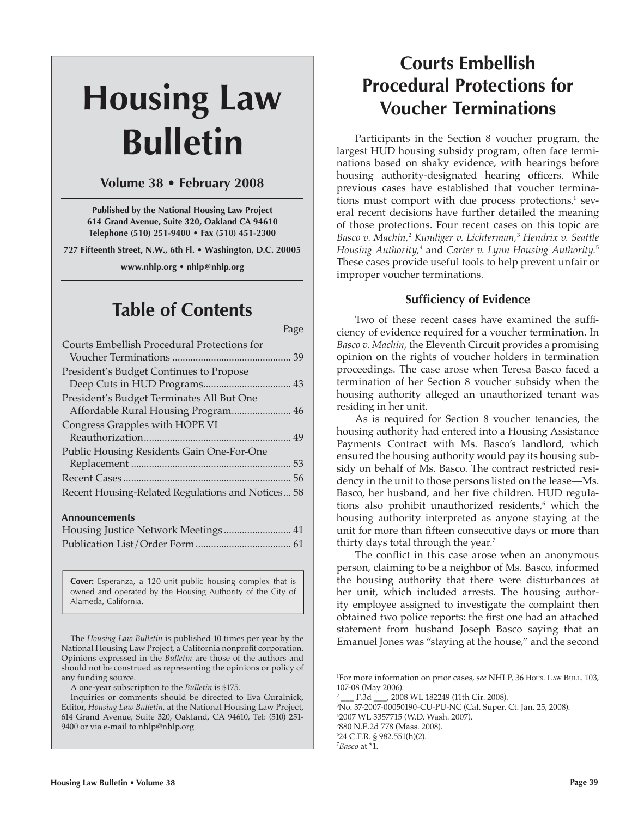# **Housing Law Bulletin**

## **Volume 38 • February 2008**

**Published by the National Housing Law Project 614 Grand Avenue, Suite 320, Oakland CA 94610 Telephone (510) 251-9400 • Fax (510) 451-2300**

**727 Fifteenth Street, N.W., 6th Fl. • Washington, D.C. 20005**

**www.nhlp.org • nhlp@nhlp.org**

# **Table of Contents**

Page 2014 - Page 2014 - Page 2014 - Page 2014 - Page Courts Embellish Procedural Protections for Voucher Terminations .............................................. 39 President's Budget Continues to Propose Deep Cuts in HUD Programs .................................. 43 President's Budget Terminates All But One Affordable Rural Housing Program....................... 46 Congress Grapples with HOPE VI Reauthorization ......................................................... 49 Public Housing Residents Gain One-For-One Replacement .............................................................. 53 Recent Cases ................................................................. 56 Recent Housing-Related Regulations and Notices ... 58 **Announcements** Housing Justice Network Meetings .......................... 41 Publication List/Order Form ..................................... 61

> **Cover:** Esperanza, a 120-unit public housing complex that is owned and operated by the Housing Authority of the City of Alameda, California.

The *Housing Law Bulletin* is published 10 times per year by the National Housing Law Project, a California nonprofit corporation. Opinions expressed in the *Bulletin* are those of the authors and should not be construed as representing the opinions or policy of any funding source.

A one-year subscription to the *Bulletin* is \$175.

Inquiries or comments should be directed to Eva Guralnick, Editor, *Housing Law Bulletin*, at the National Housing Law Project, 614 Grand Avenue, Suite 320, Oakland, CA 94610, Tel: (510) 251- 9400 or via e-mail to nhlp@nhlp.org

# **Courts Embellish Procedural Protections for Voucher Terminations**

Participants in the Section 8 voucher program, the largest HUD housing subsidy program, often face terminations based on shaky evidence, with hearings before housing authority-designated hearing officers. While previous cases have established that voucher terminations must comport with due process protections, $1$  several recent decisions have further detailed the meaning of those protections. Four recent cases on this topic are *Basco v. Machin,*<sup>2</sup> *Kundiger v. Lichterman,*<sup>3</sup>  *Hendrix v. Seattle Housing Authority,*<sup>4</sup> and *Carter v. Lynn Housing Authority.*<sup>5</sup> These cases provide useful tools to help prevent unfair or improper voucher terminations.

## **Sufficiency of Evidence**

Two of these recent cases have examined the sufficiency of evidence required for a voucher termination. In *Basco v. Machin*, the Eleventh Circuit provides a promising opinion on the rights of voucher holders in termination proceedings. The case arose when Teresa Basco faced a termination of her Section 8 voucher subsidy when the housing authority alleged an unauthorized tenant was residing in her unit.

As is required for Section 8 voucher tenancies, the housing authority had entered into a Housing Assistance Payments Contract with Ms. Basco's landlord, which ensured the housing authority would pay its housing subsidy on behalf of Ms. Basco. The contract restricted residency in the unit to those persons listed on the lease—Ms. Basco, her husband, and her five children. HUD regulations also prohibit unauthorized residents,<sup>6</sup> which the housing authority interpreted as anyone staying at the unit for more than fifteen consecutive days or more than thirty days total through the year.<sup>7</sup>

The conflict in this case arose when an anonymous person, claiming to be a neighbor of Ms. Basco, informed the housing authority that there were disturbances at her unit, which included arrests. The housing authority employee assigned to investigate the complaint then obtained two police reports: the first one had an attached statement from husband Joseph Basco saying that an Emanuel Jones was "staying at the house," and the second

 No. 37-2007-00050190-CU-PU-NC (Cal. Super. Ct. Jan. 25, 2008). 2007 WL 3357715 (W.D. Wash. 2007). 880 N.E.2d 778 (Mass. 2008). 24 C.F.R. § 982.551(h)(2). *Basco* at \*1.

<sup>1</sup> For more information on prior cases, *see* NHLP, 36 HOUS. LAW BULL. 103, 107-08 (May 2006).

<sup>2</sup> \_\_\_ F.3d \_\_\_, 2008 WL 182249 (11th Cir. 2008).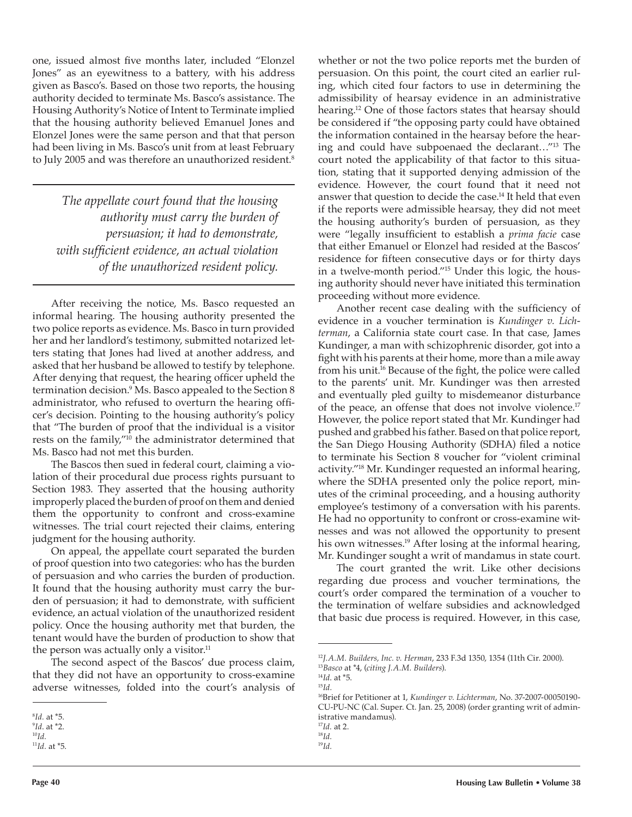one, issued almost five months later, included "Elonzel Jones" as an eyewitness to a battery, with his address given as Basco's. Based on those two reports, the housing authority decided to terminate Ms. Basco's assistance. The Housing Authority's Notice of Intent to Terminate implied that the housing authority believed Emanuel Jones and Elonzel Jones were the same person and that that person had been living in Ms. Basco's unit from at least February to July 2005 and was therefore an unauthorized resident.<sup>8</sup>

*The appellate court found that the housing authority must carry the burden of persuasion; it had to demonstrate, with suf cient evidence, an actual violation of the unauthorized resident policy.*

After receiving the notice, Ms. Basco requested an informal hearing. The housing authority presented the two police reports as evidence. Ms. Basco in turn provided her and her landlord's testimony, submitted notarized letters stating that Jones had lived at another address, and asked that her husband be allowed to testify by telephone. After denying that request, the hearing officer upheld the termination decision.9 Ms. Basco appealed to the Section 8 administrator, who refused to overturn the hearing officer's decision. Pointing to the housing authority's policy that "The burden of proof that the individual is a visitor rests on the family,"<sup>10</sup> the administrator determined that Ms. Basco had not met this burden.

The Bascos then sued in federal court, claiming a violation of their procedural due process rights pursuant to Section 1983. They asserted that the housing authority improperly placed the burden of proof on them and denied them the opportunity to confront and cross-examine witnesses. The trial court rejected their claims, entering judgment for the housing authority.

On appeal, the appellate court separated the burden of proof question into two categories: who has the burden of persuasion and who carries the burden of production. It found that the housing authority must carry the burden of persuasion; it had to demonstrate, with sufficient evidence, an actual violation of the unauthorized resident policy. Once the housing authority met that burden, the tenant would have the burden of production to show that the person was actually only a visitor.<sup>11</sup>

The second aspect of the Bascos' due process claim, that they did not have an opportunity to cross-examine adverse witnesses, folded into the court's analysis of whether or not the two police reports met the burden of persuasion. On this point, the court cited an earlier ruling, which cited four factors to use in determining the admissibility of hearsay evidence in an administrative hearing.12 One of those factors states that hearsay should be considered if "the opposing party could have obtained the information contained in the hearsay before the hearing and could have subpoenaed the declarant…"13 The court noted the applicability of that factor to this situation, stating that it supported denying admission of the evidence. However, the court found that it need not answer that question to decide the case.14 It held that even if the reports were admissible hearsay, they did not meet the housing authority's burden of persuasion, as they were "legally insufficient to establish a *prima facie* case that either Emanuel or Elonzel had resided at the Bascos' residence for fifteen consecutive days or for thirty days in a twelve-month period."15 Under this logic, the housing authority should never have initiated this termination proceeding without more evidence.

Another recent case dealing with the sufficiency of evidence in a voucher termination is *Kundinger v. Lichterman*, a California state court case. In that case, James Kundinger, a man with schizophrenic disorder, got into a fight with his parents at their home, more than a mile away from his unit.<sup>16</sup> Because of the fight, the police were called to the parents' unit. Mr. Kundinger was then arrested and eventually pled guilty to misdemeanor disturbance of the peace, an offense that does not involve violence.<sup>17</sup> However, the police report stated that Mr. Kundinger had pushed and grabbed his father. Based on that police report, the San Diego Housing Authority (SDHA) filed a notice to terminate his Section 8 voucher for "violent criminal activity."18 Mr. Kundinger requested an informal hearing, where the SDHA presented only the police report, minutes of the criminal proceeding, and a housing authority employee's testimony of a conversation with his parents. He had no opportunity to confront or cross-examine witnesses and was not allowed the opportunity to present his own witnesses.<sup>19</sup> After losing at the informal hearing, Mr. Kundinger sought a writ of mandamus in state court.

The court granted the writ. Like other decisions regarding due process and voucher terminations, the court's order compared the termination of a voucher to the termination of welfare subsidies and acknowledged that basic due process is required. However, in this case,

<sup>8</sup> *Id.* at \*5.

<sup>9</sup> *Id*. at \*2. 10*Id.*

<sup>11</sup>*Id.* at \*5.

<sup>12</sup>*J.A.M. Builders, Inc. v. Herman*, 233 F.3d 1350, 1354 (11th Cir. 2000). 13*Basco* at \*4, (*citing J.A.M. Builders*).

<sup>14</sup>*Id*. at \*5. 15*Id.*

<sup>16</sup>Brief for Petitioner at 1, *Kundinger v. Lichterman*, No. 37-2007-00050190- CU-PU-NC (Cal. Super. Ct. Jan. 25, 2008) (order granting writ of administrative mandamus).

<sup>17</sup>*Id.* at 2. 18*Id.*

<sup>19</sup>*Id.*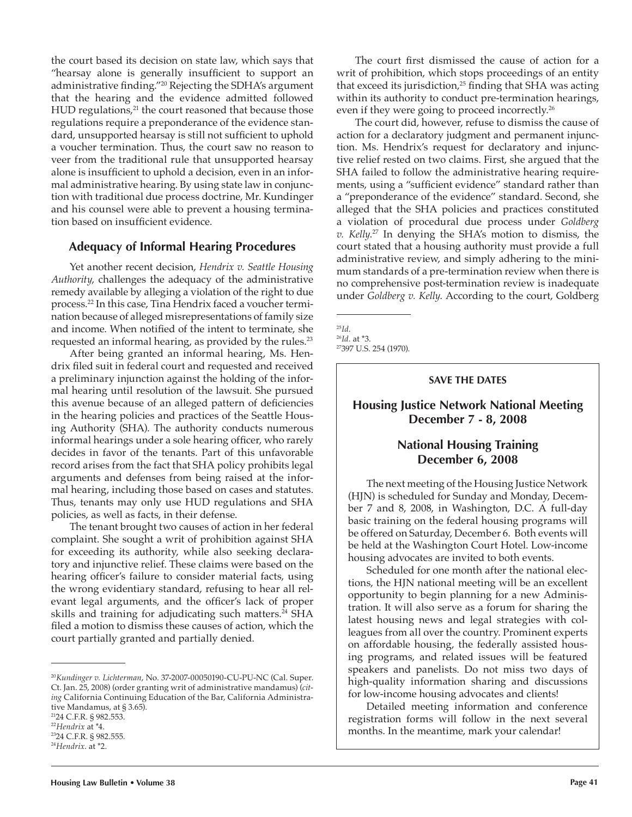the court based its decision on state law, which says that "hearsay alone is generally insufficient to support an administrative finding."<sup>20</sup> Rejecting the SDHA's argument that the hearing and the evidence admitted followed  $HUD$  regulations, $21$  the court reasoned that because those regulations require a preponderance of the evidence standard, unsupported hearsay is still not sufficient to uphold a voucher termination. Thus, the court saw no reason to veer from the traditional rule that unsupported hearsay alone is insufficient to uphold a decision, even in an informal administrative hearing. By using state law in conjunction with traditional due process doctrine, Mr. Kundinger and his counsel were able to prevent a housing termination based on insufficient evidence.

#### **Adequacy of Informal Hearing Procedures**

Yet another recent decision, *Hendrix v. Seattle Housing Authority*, challenges the adequacy of the administrative remedy available by alleging a violation of the right to due process.22 In this case, Tina Hendrix faced a voucher termination because of alleged misrepresentations of family size and income. When notified of the intent to terminate, she requested an informal hearing, as provided by the rules.<sup>23</sup>

After being granted an informal hearing, Ms. Hendrix filed suit in federal court and requested and received a preliminary injunction against the holding of the informal hearing until resolution of the lawsuit. She pursued this avenue because of an alleged pattern of deficiencies in the hearing policies and practices of the Seattle Housing Authority (SHA). The authority conducts numerous informal hearings under a sole hearing officer, who rarely decides in favor of the tenants. Part of this unfavorable record arises from the fact that SHA policy prohibits legal arguments and defenses from being raised at the informal hearing, including those based on cases and statutes. Thus, tenants may only use HUD regulations and SHA policies, as well as facts, in their defense.

The tenant brought two causes of action in her federal complaint. She sought a writ of prohibition against SHA for exceeding its authority, while also seeking declaratory and injunctive relief. These claims were based on the hearing officer's failure to consider material facts, using the wrong evidentiary standard, refusing to hear all relevant legal arguments, and the officer's lack of proper skills and training for adjudicating such matters.<sup>24</sup> SHA filed a motion to dismiss these causes of action, which the court partially granted and partially denied.

The court first dismissed the cause of action for a writ of prohibition, which stops proceedings of an entity that exceed its jurisdiction, $25$  finding that SHA was acting within its authority to conduct pre-termination hearings, even if they were going to proceed incorrectly.<sup>26</sup>

The court did, however, refuse to dismiss the cause of action for a declaratory judgment and permanent injunction. Ms. Hendrix's request for declaratory and injunctive relief rested on two claims. First, she argued that the SHA failed to follow the administrative hearing requirements, using a "sufficient evidence" standard rather than a "preponderance of the evidence" standard. Second, she alleged that the SHA policies and practices constituted a violation of procedural due process under *Goldberg v. Kelly*. 27 In denying the SHA's motion to dismiss, the court stated that a housing authority must provide a full administrative review, and simply adhering to the minimum standards of a pre-termination review when there is no comprehensive post-termination review is inadequate under *Goldberg v. Kelly*. According to the court, Goldberg

#### **SAVE THE DATES**

#### **Housing Justice Network National Meeting December 7 - 8, 2008**

### **National Housing Training December 6, 2008**

The next meeting of the Housing Justice Network (HJN) is scheduled for Sunday and Monday, December 7 and 8, 2008, in Washington, D.C. A full-day basic training on the federal housing programs will be offered on Saturday, December 6. Both events will be held at the Washington Court Hotel. Low-income housing advocates are invited to both events.

Scheduled for one month after the national elections, the HJN national meeting will be an excellent opportunity to begin planning for a new Administration. It will also serve as a forum for sharing the latest housing news and legal strategies with colleagues from all over the country. Prominent experts on affordable housing, the federally assisted housing programs, and related issues will be featured speakers and panelists. Do not miss two days of high-quality information sharing and discussions for low-income housing advocates and clients!

Detailed meeting information and conference registration forms will follow in the next several months. In the meantime, mark your calendar!

<sup>20</sup>*Kundinger v. Lichterman*, No. 37-2007-00050190-CU-PU-NC (Cal. Super. Ct. Jan. 25, 2008) (order granting writ of administrative mandamus) (*citing* California Continuing Education of the Bar, California Administrative Mandamus, at § 3.65).

<sup>&</sup>lt;sup>21</sup>24 C.F.R. § 982.553.<br><sup>22</sup>Hendrix at \*4.

<sup>&</sup>lt;sup>23</sup>24 C.F.R. § 982.555. <sup>24</sup>*Hendrix*. at \*2.

<sup>&</sup>lt;sup>25</sup>*Id.*<br><sup>26</sup>*Id.* at \*3.<br><sup>27</sup>397 U.S. 254 (1970).